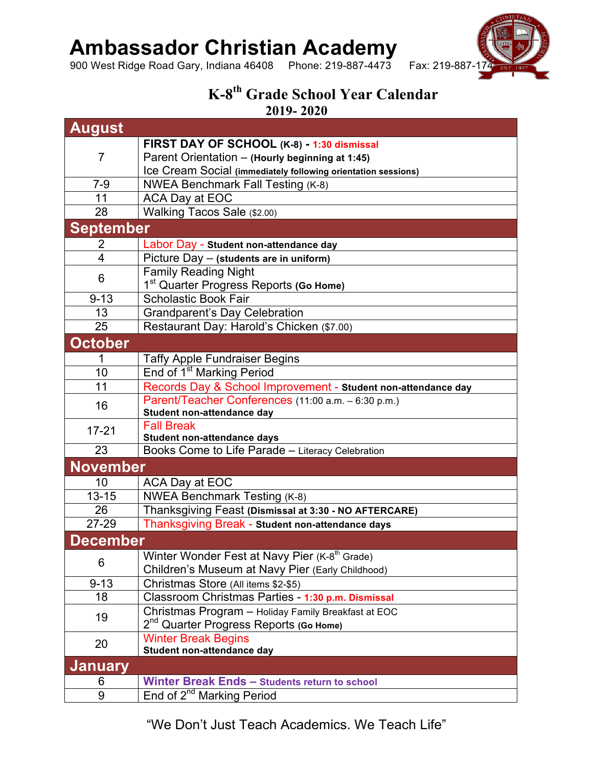## **Ambassador Christian Academy**

900 West Ridge Road Gary, Indiana 46408 Phone: 219-887-4473 Fax: 219-887-17



## **K-8th Grade School Year Calendar 2019- 2020**

**August** 7 **FIRST DAY OF SCHOOL (K-8) - 1:30 dismissal** Parent Orientation – **(Hourly beginning at 1:45)** Ice Cream Social **(immediately following orientation sessions)** 7-9 NWEA Benchmark Fall Testing (K-8) 11 | ACA Day at EOC 28 Walking Tacos Sale (\$2.00) **September** 2 Labor Day - **Student non-attendance day** 4 Picture Day – **(students are in uniform)** 6 Family Reading Night 1st Quarter Progress Reports **(Go Home)** 9-13 Scholastic Book Fair 13 | Grandparent's Day Celebration 25 Restaurant Day: Harold's Chicken (\$7.00) **October** 1 Taffy Apple Fundraiser Begins 10 | End of 1<sup>st</sup> Marking Period 11 Records Day & School Improvement - **Student non-attendance day** 16 Parent/Teacher Conferences (11:00 a.m. – 6:30 p.m.) **Student non-attendance day** 17-21 | Fall Break **Student non-attendance days** 23 | Books Come to Life Parade – Literacy Celebration **November** 10 | ACA Day at EOC 13-15 | NWEA Benchmark Testing (K-8) 26 Thanksgiving Feast **(Dismissal at 3:30 - NO AFTERCARE)** 27-29 Thanksgiving Break - **Student non-attendance days December**  6 Winter Wonder Fest at Navy Pier  $(K-8<sup>th</sup>$  Grade) Children's Museum at Navy Pier (Early Childhood) 9-13 Christmas Store (All items \$2-\$5) 18 Classroom Christmas Parties - **1:30 p.m. Dismissal** <sup>19</sup> Christmas Program – Holiday Family Breakfast at EOC 2nd Quarter Progress Reports **(Go Home)** 20 Winter Break Begins **Student non-attendance day January** 6 **Winter Break Ends – Students return to school** 9 End of 2<sup>nd</sup> Marking Period

"We Don't Just Teach Academics. We Teach Life"